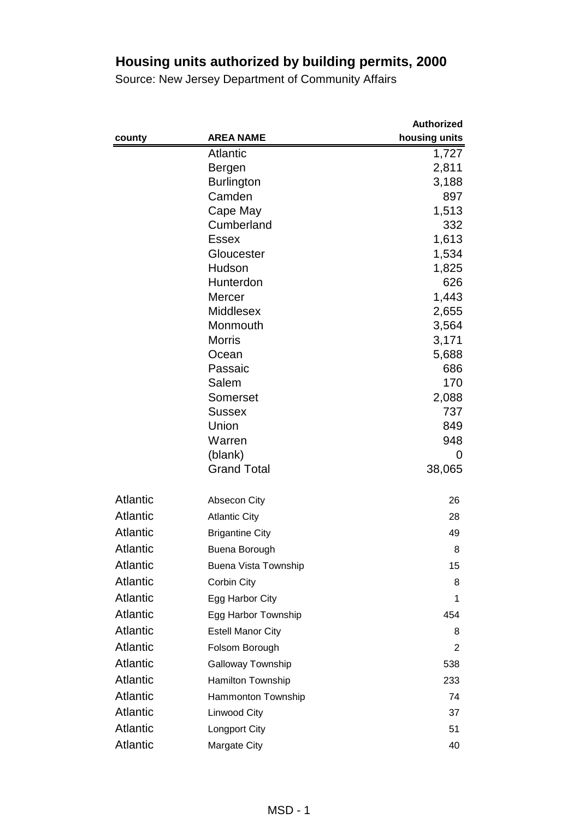|                 |                          | <b>Authorized</b> |
|-----------------|--------------------------|-------------------|
| county          | <b>AREA NAME</b>         | housing units     |
|                 | <b>Atlantic</b>          | 1,727             |
|                 | Bergen                   | 2,811             |
|                 | <b>Burlington</b>        | 3,188             |
|                 | Camden                   | 897               |
|                 | Cape May                 | 1,513             |
|                 | Cumberland               | 332               |
|                 | <b>Essex</b>             | 1,613             |
|                 | Gloucester               | 1,534             |
|                 | Hudson                   | 1,825<br>626      |
|                 | Hunterdon<br>Mercer      | 1,443             |
|                 | <b>Middlesex</b>         | 2,655             |
|                 | Monmouth                 | 3,564             |
|                 | <b>Morris</b>            | 3,171             |
|                 | Ocean                    | 5,688             |
|                 | Passaic                  | 686               |
|                 | Salem                    | 170               |
|                 | Somerset                 | 2,088             |
|                 | <b>Sussex</b>            | 737               |
|                 | Union                    | 849               |
|                 | Warren                   | 948               |
|                 | (blank)                  | 0                 |
|                 | <b>Grand Total</b>       | 38,065            |
| <b>Atlantic</b> | <b>Absecon City</b>      | 26                |
| <b>Atlantic</b> | <b>Atlantic City</b>     | 28                |
| <b>Atlantic</b> | <b>Brigantine City</b>   | 49                |
| <b>Atlantic</b> | Buena Borough            | 8                 |
| Atlantic        | Buena Vista Township     | 15                |
| <b>Atlantic</b> | Corbin City              | 8                 |
| <b>Atlantic</b> | Egg Harbor City          | 1                 |
| <b>Atlantic</b> | Egg Harbor Township      | 454               |
| <b>Atlantic</b> | <b>Estell Manor City</b> | 8                 |
| Atlantic        | Folsom Borough           | 2                 |
| <b>Atlantic</b> | Galloway Township        | 538               |
| <b>Atlantic</b> | <b>Hamilton Township</b> | 233               |
| <b>Atlantic</b> | Hammonton Township       | 74                |
| <b>Atlantic</b> | Linwood City             | 37                |
| Atlantic        | <b>Longport City</b>     | 51                |
| Atlantic        | Margate City             | 40                |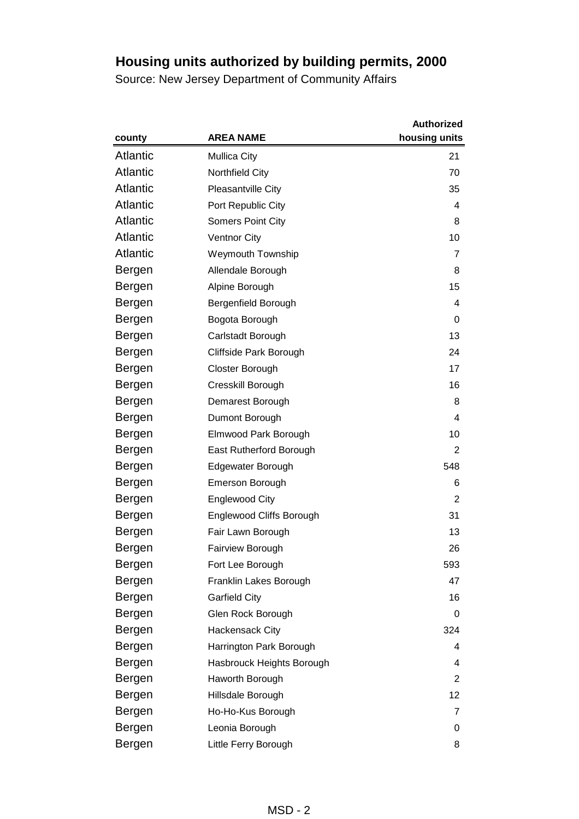|                 |                                 | <b>Authorized</b> |
|-----------------|---------------------------------|-------------------|
| county          | <b>AREA NAME</b>                | housing units     |
| <b>Atlantic</b> | <b>Mullica City</b>             | 21                |
| <b>Atlantic</b> | Northfield City                 | 70                |
| <b>Atlantic</b> | Pleasantville City              | 35                |
| <b>Atlantic</b> | Port Republic City              | 4                 |
| <b>Atlantic</b> | <b>Somers Point City</b>        | 8                 |
| <b>Atlantic</b> | <b>Ventnor City</b>             | 10                |
| <b>Atlantic</b> | <b>Weymouth Township</b>        | 7                 |
| Bergen          | Allendale Borough               | 8                 |
| Bergen          | Alpine Borough                  | 15                |
| Bergen          | Bergenfield Borough             | 4                 |
| Bergen          | Bogota Borough                  | 0                 |
| Bergen          | Carlstadt Borough               | 13                |
| Bergen          | Cliffside Park Borough          | 24                |
| Bergen          | Closter Borough                 | 17                |
| Bergen          | Cresskill Borough               | 16                |
| Bergen          | Demarest Borough                | 8                 |
| Bergen          | Dumont Borough                  | 4                 |
| Bergen          | Elmwood Park Borough            | 10                |
| Bergen          | East Rutherford Borough         | 2                 |
| Bergen          | Edgewater Borough               | 548               |
| Bergen          | <b>Emerson Borough</b>          | 6                 |
| Bergen          | <b>Englewood City</b>           | 2                 |
| Bergen          | <b>Englewood Cliffs Borough</b> | 31                |
| Bergen          | Fair Lawn Borough               | 13                |
| Bergen          | <b>Fairview Borough</b>         | 26                |
| Bergen          | Fort Lee Borough                | 593               |
| Bergen          | Franklin Lakes Borough          | 47                |
| Bergen          | <b>Garfield City</b>            | 16                |
| Bergen          | Glen Rock Borough               | 0                 |
| Bergen          | <b>Hackensack City</b>          | 324               |
| Bergen          | Harrington Park Borough         | 4                 |
| Bergen          | Hasbrouck Heights Borough       | 4                 |
| Bergen          | Haworth Borough                 | 2                 |
| Bergen          | Hillsdale Borough               | 12                |
| Bergen          | Ho-Ho-Kus Borough               | 7                 |
| Bergen          | Leonia Borough                  | 0                 |
| Bergen          | Little Ferry Borough            | 8                 |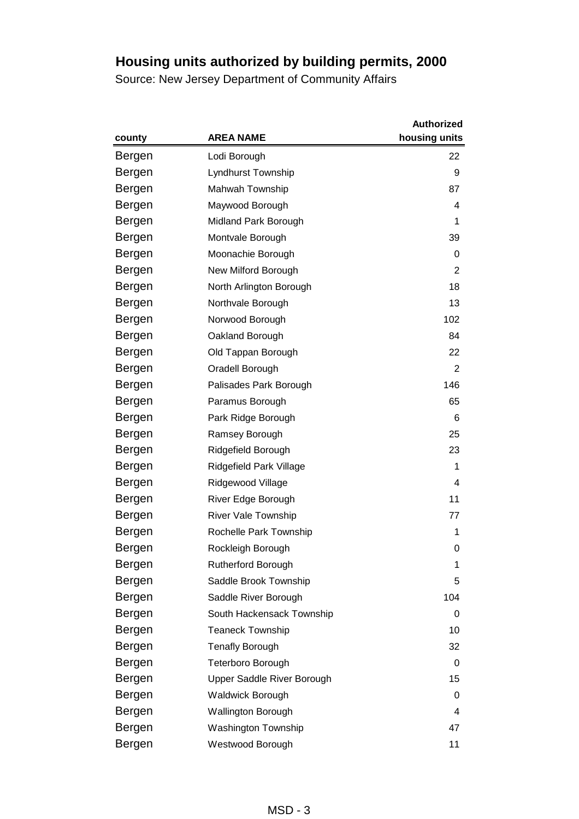|        |                            | <b>Authorized</b> |
|--------|----------------------------|-------------------|
| county | <b>AREA NAME</b>           | housing units     |
| Bergen | Lodi Borough               | 22                |
| Bergen | Lyndhurst Township         | 9                 |
| Bergen | Mahwah Township            | 87                |
| Bergen | Maywood Borough            | 4                 |
| Bergen | Midland Park Borough       | 1                 |
| Bergen | Montvale Borough           | 39                |
| Bergen | Moonachie Borough          | 0                 |
| Bergen | New Milford Borough        | 2                 |
| Bergen | North Arlington Borough    | 18                |
| Bergen | Northvale Borough          | 13                |
| Bergen | Norwood Borough            | 102               |
| Bergen | Oakland Borough            | 84                |
| Bergen | Old Tappan Borough         | 22                |
| Bergen | Oradell Borough            | $\overline{2}$    |
| Bergen | Palisades Park Borough     | 146               |
| Bergen | Paramus Borough            | 65                |
| Bergen | Park Ridge Borough         | 6                 |
| Bergen | Ramsey Borough             | 25                |
| Bergen | Ridgefield Borough         | 23                |
| Bergen | Ridgefield Park Village    | 1                 |
| Bergen | Ridgewood Village          | 4                 |
| Bergen | River Edge Borough         | 11                |
| Bergen | <b>River Vale Township</b> | 77                |
| Bergen | Rochelle Park Township     | 1                 |
| Bergen | Rockleigh Borough          | 0                 |
| Bergen | Rutherford Borough         | 1                 |
| Bergen | Saddle Brook Township      | 5                 |
| Bergen | Saddle River Borough       | 104               |
| Bergen | South Hackensack Township  | 0                 |
| Bergen | <b>Teaneck Township</b>    | 10                |
| Bergen | <b>Tenafly Borough</b>     | 32                |
| Bergen | <b>Teterboro Borough</b>   | 0                 |
| Bergen | Upper Saddle River Borough | 15                |
| Bergen | <b>Waldwick Borough</b>    | 0                 |
| Bergen | Wallington Borough         | 4                 |
| Bergen | <b>Washington Township</b> | 47                |
| Bergen | Westwood Borough           | 11                |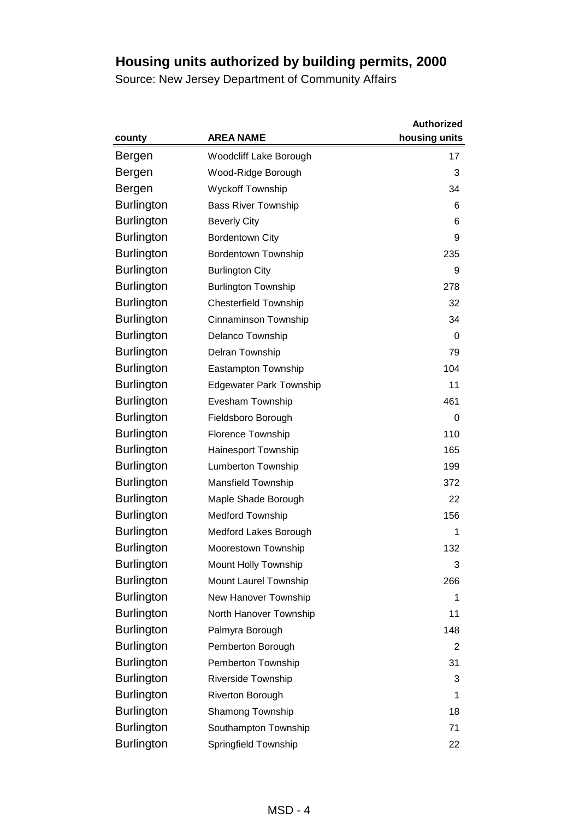|                   |                                | <b>Authorized</b> |
|-------------------|--------------------------------|-------------------|
| county            | <b>AREA NAME</b>               | housing units     |
| Bergen            | Woodcliff Lake Borough         | 17                |
| Bergen            | Wood-Ridge Borough             | 3                 |
| Bergen            | <b>Wyckoff Township</b>        | 34                |
| <b>Burlington</b> | <b>Bass River Township</b>     | 6                 |
| <b>Burlington</b> | <b>Beverly City</b>            | 6                 |
| <b>Burlington</b> | <b>Bordentown City</b>         | 9                 |
| <b>Burlington</b> | <b>Bordentown Township</b>     | 235               |
| <b>Burlington</b> | <b>Burlington City</b>         | 9                 |
| <b>Burlington</b> | <b>Burlington Township</b>     | 278               |
| <b>Burlington</b> | <b>Chesterfield Township</b>   | 32                |
| <b>Burlington</b> | Cinnaminson Township           | 34                |
| <b>Burlington</b> | Delanco Township               | 0                 |
| <b>Burlington</b> | Delran Township                | 79                |
| <b>Burlington</b> | Eastampton Township            | 104               |
| <b>Burlington</b> | <b>Edgewater Park Township</b> | 11                |
| <b>Burlington</b> | Evesham Township               | 461               |
| <b>Burlington</b> | Fieldsboro Borough             | 0                 |
| <b>Burlington</b> | <b>Florence Township</b>       | 110               |
| <b>Burlington</b> | Hainesport Township            | 165               |
| <b>Burlington</b> | <b>Lumberton Township</b>      | 199               |
| <b>Burlington</b> | <b>Mansfield Township</b>      | 372               |
| <b>Burlington</b> | Maple Shade Borough            | 22                |
| <b>Burlington</b> | <b>Medford Township</b>        | 156               |
| Burlington        | Medford Lakes Borough          | 1                 |
| <b>Burlington</b> | Moorestown Township            | 132               |
| <b>Burlington</b> | Mount Holly Township           | 3                 |
| <b>Burlington</b> | Mount Laurel Township          | 266               |
| <b>Burlington</b> | New Hanover Township           | 1                 |
| <b>Burlington</b> | North Hanover Township         | 11                |
| <b>Burlington</b> | Palmyra Borough                | 148               |
| <b>Burlington</b> | Pemberton Borough              | 2                 |
| <b>Burlington</b> | Pemberton Township             | 31                |
| <b>Burlington</b> | Riverside Township             | 3                 |
| <b>Burlington</b> | Riverton Borough               | 1                 |
| <b>Burlington</b> | Shamong Township               | 18                |
| <b>Burlington</b> | Southampton Township           | 71                |
| <b>Burlington</b> | Springfield Township           | 22                |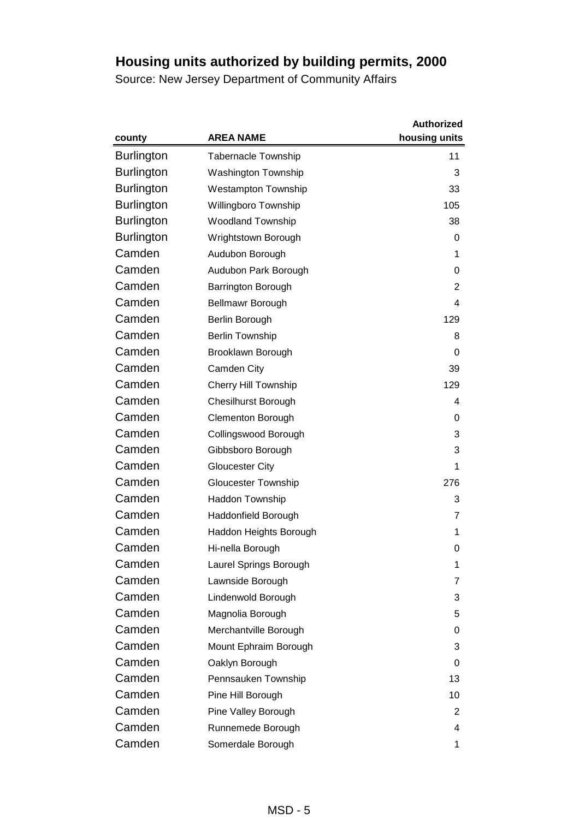|                   |                             | <b>Authorized</b> |
|-------------------|-----------------------------|-------------------|
| county            | <b>AREA NAME</b>            | housing units     |
| <b>Burlington</b> | <b>Tabernacle Township</b>  | 11                |
| <b>Burlington</b> | <b>Washington Township</b>  | 3                 |
| <b>Burlington</b> | <b>Westampton Township</b>  | 33                |
| <b>Burlington</b> | Willingboro Township        | 105               |
| <b>Burlington</b> | <b>Woodland Township</b>    | 38                |
| <b>Burlington</b> | Wrightstown Borough         | 0                 |
| Camden            | Audubon Borough             | 1                 |
| Camden            | Audubon Park Borough        | 0                 |
| Camden            | Barrington Borough          | 2                 |
| Camden            | Bellmawr Borough            | 4                 |
| Camden            | Berlin Borough              | 129               |
| Camden            | <b>Berlin Township</b>      | 8                 |
| Camden            | Brooklawn Borough           | 0                 |
| Camden            | Camden City                 | 39                |
| Camden            | <b>Cherry Hill Township</b> | 129               |
| Camden            | <b>Chesilhurst Borough</b>  | 4                 |
| Camden            | <b>Clementon Borough</b>    | 0                 |
| Camden            | Collingswood Borough        | 3                 |
| Camden            | Gibbsboro Borough           | 3                 |
| Camden            | <b>Gloucester City</b>      | 1                 |
| Camden            | <b>Gloucester Township</b>  | 276               |
| Camden            | <b>Haddon Township</b>      | 3                 |
| Camden            | Haddonfield Borough         | 7                 |
| Camden            | Haddon Heights Borough      | 1                 |
| Camden            | Hi-nella Borough            | 0                 |
| Camden            | Laurel Springs Borough      | 1                 |
| Camden            | Lawnside Borough            | 7                 |
| Camden            | Lindenwold Borough          | 3                 |
| Camden            | Magnolia Borough            | 5                 |
| Camden            | Merchantville Borough       | 0                 |
| Camden            | Mount Ephraim Borough       | 3                 |
| Camden            | Oaklyn Borough              | 0                 |
| Camden            | Pennsauken Township         | 13                |
| Camden            | Pine Hill Borough           | 10                |
| Camden            | Pine Valley Borough         | 2                 |
| Camden            | Runnemede Borough           | 4                 |
| Camden            | Somerdale Borough           | 1                 |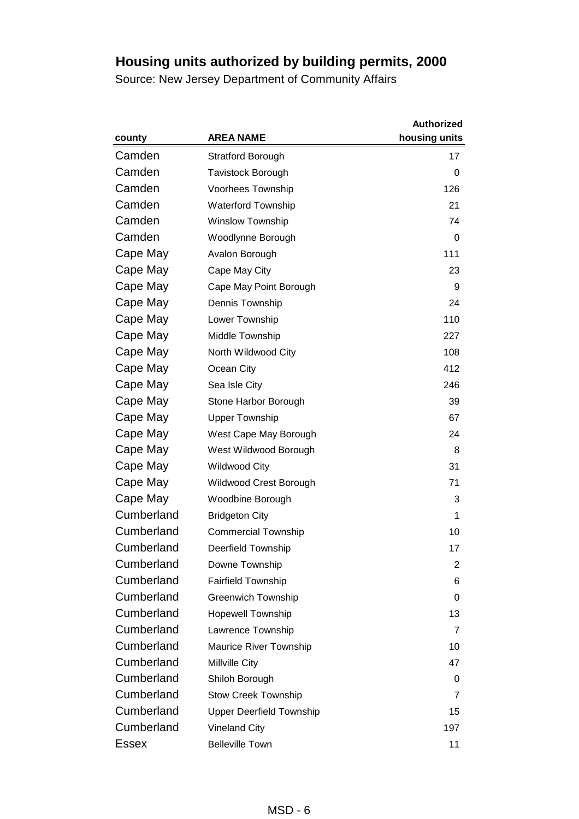|            |                                 | <b>Authorized</b> |
|------------|---------------------------------|-------------------|
| county     | <b>AREA NAME</b>                | housing units     |
| Camden     | <b>Stratford Borough</b>        | 17                |
| Camden     | <b>Tavistock Borough</b>        | 0                 |
| Camden     | Voorhees Township               | 126               |
| Camden     | <b>Waterford Township</b>       | 21                |
| Camden     | <b>Winslow Township</b>         | 74                |
| Camden     | Woodlynne Borough               | 0                 |
| Cape May   | Avalon Borough                  | 111               |
| Cape May   | Cape May City                   | 23                |
| Cape May   | Cape May Point Borough          | 9                 |
| Cape May   | Dennis Township                 | 24                |
| Cape May   | Lower Township                  | 110               |
| Cape May   | Middle Township                 | 227               |
| Cape May   | North Wildwood City             | 108               |
| Cape May   | Ocean City                      | 412               |
| Cape May   | Sea Isle City                   | 246               |
| Cape May   | Stone Harbor Borough            | 39                |
| Cape May   | <b>Upper Township</b>           | 67                |
| Cape May   | West Cape May Borough           | 24                |
| Cape May   | West Wildwood Borough           | 8                 |
| Cape May   | <b>Wildwood City</b>            | 31                |
| Cape May   | Wildwood Crest Borough          | 71                |
| Cape May   | Woodbine Borough                | 3                 |
| Cumberland | <b>Bridgeton City</b>           | 1                 |
| Cumberland | <b>Commercial Township</b>      | 10                |
| Cumberland | <b>Deerfield Township</b>       | 17                |
| Cumberland | Downe Township                  | 2                 |
| Cumberland | <b>Fairfield Township</b>       | 6                 |
| Cumberland | <b>Greenwich Township</b>       | 0                 |
| Cumberland | <b>Hopewell Township</b>        | 13                |
| Cumberland | Lawrence Township               | 7                 |
| Cumberland | Maurice River Township          | 10                |
| Cumberland | Millville City                  | 47                |
| Cumberland | Shiloh Borough                  | 0                 |
| Cumberland | <b>Stow Creek Township</b>      | 7                 |
| Cumberland | <b>Upper Deerfield Township</b> | 15                |
| Cumberland | <b>Vineland City</b>            | 197               |
| Essex      | <b>Belleville Town</b>          | 11                |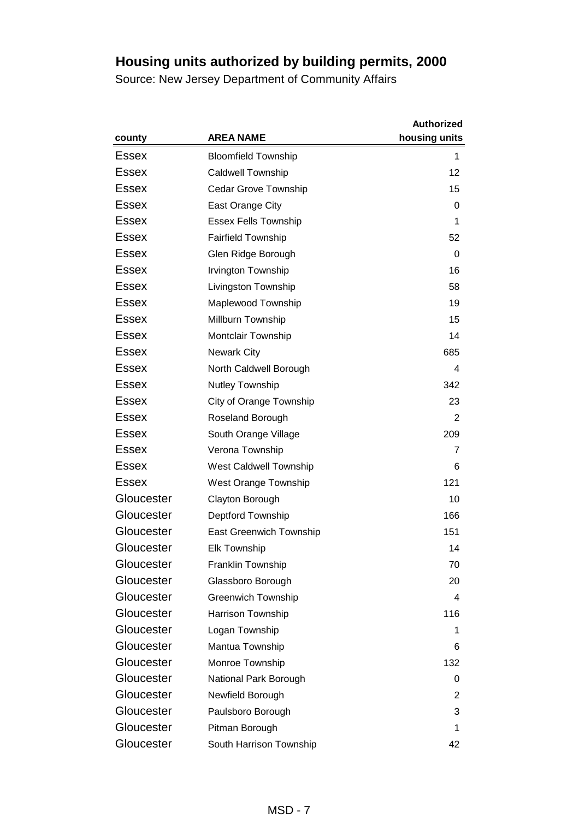|              |                                | <b>Authorized</b> |
|--------------|--------------------------------|-------------------|
| county       | <b>AREA NAME</b>               | housing units     |
| Essex        | <b>Bloomfield Township</b>     | 1                 |
| Essex        | <b>Caldwell Township</b>       | 12                |
| Essex        | <b>Cedar Grove Township</b>    | 15                |
| Essex        | East Orange City               | 0                 |
| <b>Essex</b> | <b>Essex Fells Township</b>    | 1                 |
| <b>Essex</b> | Fairfield Township             | 52                |
| <b>Essex</b> | Glen Ridge Borough             | 0                 |
| Essex        | Irvington Township             | 16                |
| Essex        | Livingston Township            | 58                |
| Essex        | Maplewood Township             | 19                |
| <b>Essex</b> | Millburn Township              | 15                |
| Essex        | <b>Montclair Township</b>      | 14                |
| Essex        | <b>Newark City</b>             | 685               |
| <b>Essex</b> | North Caldwell Borough         | 4                 |
| <b>Essex</b> | Nutley Township                | 342               |
| <b>Essex</b> | City of Orange Township        | 23                |
| Essex        | Roseland Borough               | 2                 |
| Essex        | South Orange Village           | 209               |
| Essex        | Verona Township                | 7                 |
| Essex        | West Caldwell Township         | 6                 |
| <b>Essex</b> | West Orange Township           | 121               |
| Gloucester   | Clayton Borough                | 10                |
| Gloucester   | <b>Deptford Township</b>       | 166               |
| Gloucester   | <b>East Greenwich Township</b> | 151               |
| Gloucester   | <b>Elk Township</b>            | 14                |
| Gloucester   | Franklin Township              | 70                |
| Gloucester   | Glassboro Borough              | 20                |
| Gloucester   | <b>Greenwich Township</b>      | 4                 |
| Gloucester   | Harrison Township              | 116               |
| Gloucester   | Logan Township                 | 1                 |
| Gloucester   | Mantua Township                | 6                 |
| Gloucester   | Monroe Township                | 132               |
| Gloucester   | National Park Borough          | 0                 |
| Gloucester   | Newfield Borough               | 2                 |
| Gloucester   | Paulsboro Borough              | 3                 |
| Gloucester   | Pitman Borough                 | 1                 |
| Gloucester   | South Harrison Township        | 42                |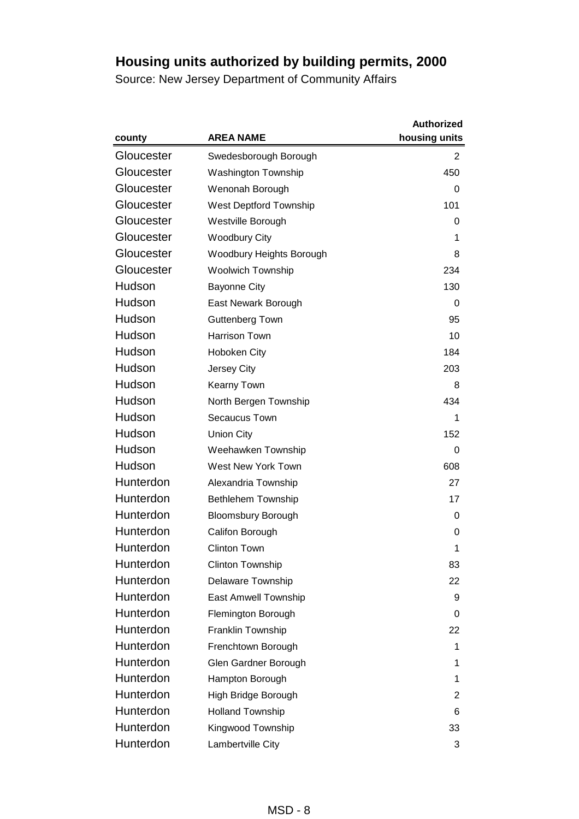|            |                            | <b>Authorized</b> |
|------------|----------------------------|-------------------|
| county     | <b>AREA NAME</b>           | housing units     |
| Gloucester | Swedesborough Borough      | 2                 |
| Gloucester | <b>Washington Township</b> | 450               |
| Gloucester | Wenonah Borough            | 0                 |
| Gloucester | West Deptford Township     | 101               |
| Gloucester | Westville Borough          | 0                 |
| Gloucester | <b>Woodbury City</b>       | 1                 |
| Gloucester | Woodbury Heights Borough   | 8                 |
| Gloucester | Woolwich Township          | 234               |
| Hudson     | <b>Bayonne City</b>        | 130               |
| Hudson     | East Newark Borough        | 0                 |
| Hudson     | <b>Guttenberg Town</b>     | 95                |
| Hudson     | <b>Harrison Town</b>       | 10                |
| Hudson     | Hoboken City               | 184               |
| Hudson     | Jersey City                | 203               |
| Hudson     | Kearny Town                | 8                 |
| Hudson     | North Bergen Township      | 434               |
| Hudson     | Secaucus Town              | 1                 |
| Hudson     | <b>Union City</b>          | 152               |
| Hudson     | Weehawken Township         | 0                 |
| Hudson     | West New York Town         | 608               |
| Hunterdon  | Alexandria Township        | 27                |
| Hunterdon  | Bethlehem Township         | 17                |
| Hunterdon  | <b>Bloomsbury Borough</b>  | 0                 |
| Hunterdon  | Califon Borough            | 0                 |
| Hunterdon  | <b>Clinton Town</b>        | 1                 |
| Hunterdon  | Clinton Township           | 83                |
| Hunterdon  | Delaware Township          | 22                |
| Hunterdon  | East Amwell Township       | 9                 |
| Hunterdon  | Flemington Borough         | 0                 |
| Hunterdon  | Franklin Township          | 22                |
| Hunterdon  | Frenchtown Borough         | 1                 |
| Hunterdon  | Glen Gardner Borough       | 1                 |
| Hunterdon  | Hampton Borough            | 1                 |
| Hunterdon  | High Bridge Borough        | $\overline{2}$    |
| Hunterdon  | <b>Holland Township</b>    | 6                 |
| Hunterdon  | Kingwood Township          | 33                |
| Hunterdon  | Lambertville City          | 3                 |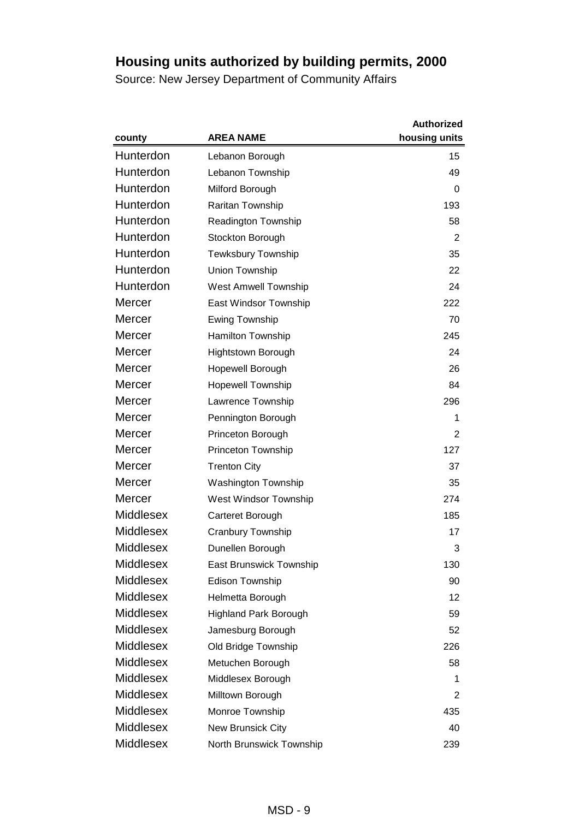|                  |                              | <b>Authorized</b> |
|------------------|------------------------------|-------------------|
| county           | <b>AREA NAME</b>             | housing units     |
| Hunterdon        | Lebanon Borough              | 15                |
| Hunterdon        | Lebanon Township             | 49                |
| Hunterdon        | Milford Borough              | 0                 |
| Hunterdon        | Raritan Township             | 193               |
| Hunterdon        | Readington Township          | 58                |
| Hunterdon        | Stockton Borough             | 2                 |
| Hunterdon        | <b>Tewksbury Township</b>    | 35                |
| Hunterdon        | Union Township               | 22                |
| Hunterdon        | <b>West Amwell Township</b>  | 24                |
| Mercer           | East Windsor Township        | 222               |
| Mercer           | Ewing Township               | 70                |
| Mercer           | Hamilton Township            | 245               |
| Mercer           | Hightstown Borough           | 24                |
| Mercer           | Hopewell Borough             | 26                |
| Mercer           | <b>Hopewell Township</b>     | 84                |
| Mercer           | Lawrence Township            | 296               |
| Mercer           | Pennington Borough           | 1                 |
| Mercer           | Princeton Borough            | 2                 |
| Mercer           | Princeton Township           | 127               |
| Mercer           | <b>Trenton City</b>          | 37                |
| Mercer           | <b>Washington Township</b>   | 35                |
| Mercer           | West Windsor Township        | 274               |
| <b>Middlesex</b> | Carteret Borough             | 185               |
| <b>Middlesex</b> | <b>Cranbury Township</b>     | 17                |
| <b>Middlesex</b> | Dunellen Borough             | 3                 |
| <b>Middlesex</b> | East Brunswick Township      | 130               |
| <b>Middlesex</b> | <b>Edison Township</b>       | 90                |
| <b>Middlesex</b> | Helmetta Borough             | 12                |
| <b>Middlesex</b> | <b>Highland Park Borough</b> | 59                |
| <b>Middlesex</b> | Jamesburg Borough            | 52                |
| <b>Middlesex</b> | Old Bridge Township          | 226               |
| <b>Middlesex</b> | Metuchen Borough             | 58                |
| <b>Middlesex</b> | Middlesex Borough            | 1                 |
| <b>Middlesex</b> | Milltown Borough             | 2                 |
| Middlesex        | Monroe Township              | 435               |
| <b>Middlesex</b> | New Brunsick City            | 40                |
| Middlesex        | North Brunswick Township     | 239               |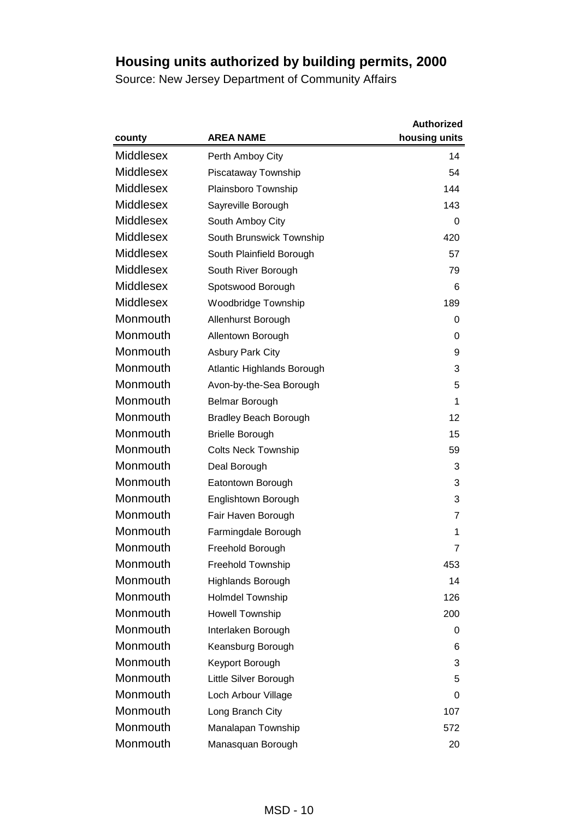|                  |                              | <b>Authorized</b> |
|------------------|------------------------------|-------------------|
| county           | <b>AREA NAME</b>             | housing units     |
| <b>Middlesex</b> | Perth Amboy City             | 14                |
| <b>Middlesex</b> | Piscataway Township          | 54                |
| <b>Middlesex</b> | Plainsboro Township          | 144               |
| <b>Middlesex</b> | Sayreville Borough           | 143               |
| <b>Middlesex</b> | South Amboy City             | 0                 |
| <b>Middlesex</b> | South Brunswick Township     | 420               |
| <b>Middlesex</b> | South Plainfield Borough     | 57                |
| <b>Middlesex</b> | South River Borough          | 79                |
| <b>Middlesex</b> | Spotswood Borough            | 6                 |
| <b>Middlesex</b> | Woodbridge Township          | 189               |
| Monmouth         | Allenhurst Borough           | 0                 |
| Monmouth         | Allentown Borough            | 0                 |
| Monmouth         | <b>Asbury Park City</b>      | 9                 |
| Monmouth         | Atlantic Highlands Borough   | 3                 |
| Monmouth         | Avon-by-the-Sea Borough      | 5                 |
| Monmouth         | Belmar Borough               | 1                 |
| Monmouth         | <b>Bradley Beach Borough</b> | 12                |
| Monmouth         | <b>Brielle Borough</b>       | 15                |
| Monmouth         | <b>Colts Neck Township</b>   | 59                |
| Monmouth         | Deal Borough                 | 3                 |
| Monmouth         | Eatontown Borough            | 3                 |
| Monmouth         | Englishtown Borough          | 3                 |
| Monmouth         | Fair Haven Borough           | 7                 |
| Monmouth         | Farmingdale Borough          | 1                 |
| Monmouth         | Freehold Borough             | 7                 |
| Monmouth         | <b>Freehold Township</b>     | 453               |
| Monmouth         | Highlands Borough            | 14                |
| Monmouth         | Holmdel Township             | 126               |
| Monmouth         | Howell Township              | 200               |
| Monmouth         | Interlaken Borough           | 0                 |
| Monmouth         | Keansburg Borough            | 6                 |
| Monmouth         | Keyport Borough              | 3                 |
| Monmouth         | Little Silver Borough        | 5                 |
| Monmouth         | Loch Arbour Village          | 0                 |
| Monmouth         | Long Branch City             | 107               |
| Monmouth         | Manalapan Township           | 572               |
| Monmouth         | Manasquan Borough            | 20                |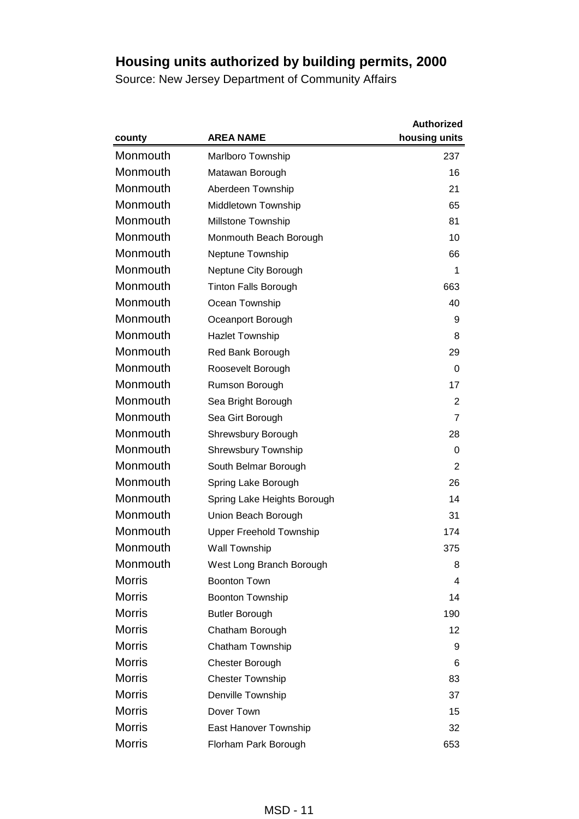|               |                                | <b>Authorized</b> |
|---------------|--------------------------------|-------------------|
| county        | <b>AREA NAME</b>               | housing units     |
| Monmouth      | Marlboro Township              | 237               |
| Monmouth      | Matawan Borough                | 16                |
| Monmouth      | Aberdeen Township              | 21                |
| Monmouth      | Middletown Township            | 65                |
| Monmouth      | Millstone Township             | 81                |
| Monmouth      | Monmouth Beach Borough         | 10                |
| Monmouth      | Neptune Township               | 66                |
| Monmouth      | Neptune City Borough           | 1                 |
| Monmouth      | <b>Tinton Falls Borough</b>    | 663               |
| Monmouth      | Ocean Township                 | 40                |
| Monmouth      | Oceanport Borough              | 9                 |
| Monmouth      | <b>Hazlet Township</b>         | 8                 |
| Monmouth      | Red Bank Borough               | 29                |
| Monmouth      | Roosevelt Borough              | 0                 |
| Monmouth      | Rumson Borough                 | 17                |
| Monmouth      | Sea Bright Borough             | 2                 |
| Monmouth      | Sea Girt Borough               | 7                 |
| Monmouth      | Shrewsbury Borough             | 28                |
| Monmouth      | <b>Shrewsbury Township</b>     | 0                 |
| Monmouth      | South Belmar Borough           | 2                 |
| Monmouth      | Spring Lake Borough            | 26                |
| Monmouth      | Spring Lake Heights Borough    | 14                |
| Monmouth      | Union Beach Borough            | 31                |
| Monmouth      | <b>Upper Freehold Township</b> | 174               |
| Monmouth      | <b>Wall Township</b>           | 375               |
| Monmouth      | West Long Branch Borough       | 8                 |
| <b>Morris</b> | <b>Boonton Town</b>            | 4                 |
| <b>Morris</b> | Boonton Township               | 14                |
| <b>Morris</b> | <b>Butler Borough</b>          | 190               |
| <b>Morris</b> | Chatham Borough                | 12                |
| <b>Morris</b> | Chatham Township               | 9                 |
| <b>Morris</b> | Chester Borough                | 6                 |
| <b>Morris</b> | <b>Chester Township</b>        | 83                |
| <b>Morris</b> | Denville Township              | 37                |
| <b>Morris</b> | Dover Town                     | 15                |
| <b>Morris</b> | East Hanover Township          | 32                |
| <b>Morris</b> | Florham Park Borough           | 653               |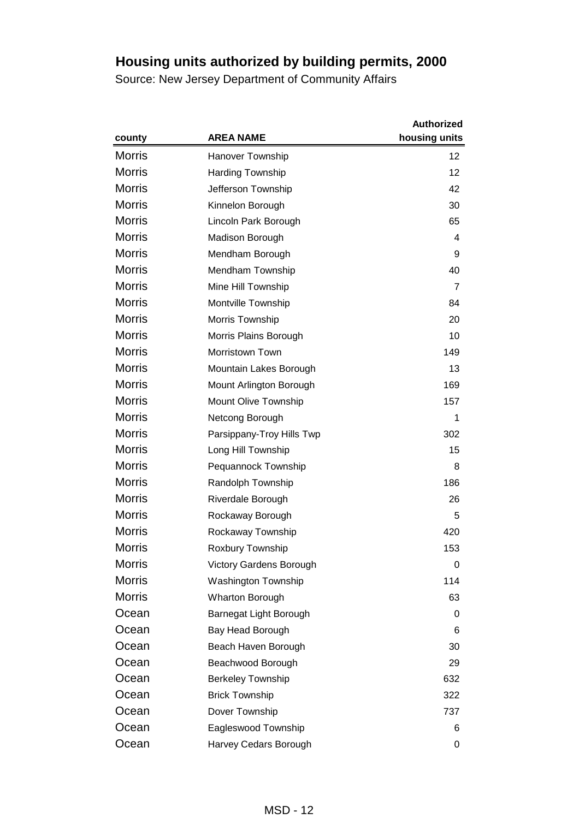|               |                                | <b>Authorized</b> |
|---------------|--------------------------------|-------------------|
| county        | <b>AREA NAME</b>               | housing units     |
| <b>Morris</b> | <b>Hanover Township</b>        | 12                |
| <b>Morris</b> | <b>Harding Township</b>        | 12                |
| <b>Morris</b> | Jefferson Township             | 42                |
| <b>Morris</b> | Kinnelon Borough               | 30                |
| <b>Morris</b> | Lincoln Park Borough           | 65                |
| <b>Morris</b> | Madison Borough                | 4                 |
| <b>Morris</b> | Mendham Borough                | 9                 |
| <b>Morris</b> | Mendham Township               | 40                |
| <b>Morris</b> | Mine Hill Township             | $\overline{7}$    |
| <b>Morris</b> | Montville Township             | 84                |
| <b>Morris</b> | Morris Township                | 20                |
| <b>Morris</b> | Morris Plains Borough          | 10                |
| <b>Morris</b> | Morristown Town                | 149               |
| <b>Morris</b> | Mountain Lakes Borough         | 13                |
| <b>Morris</b> | Mount Arlington Borough        | 169               |
| <b>Morris</b> | <b>Mount Olive Township</b>    | 157               |
| <b>Morris</b> | Netcong Borough                | 1                 |
| <b>Morris</b> | Parsippany-Troy Hills Twp      | 302               |
| <b>Morris</b> | Long Hill Township             | 15                |
| <b>Morris</b> | Pequannock Township            | 8                 |
| <b>Morris</b> | Randolph Township              | 186               |
| <b>Morris</b> | Riverdale Borough              | 26                |
| <b>Morris</b> | Rockaway Borough               | 5                 |
| <b>Morris</b> | Rockaway Township              | 420               |
| <b>Morris</b> | Roxbury Township               | 153               |
| <b>Morris</b> | <b>Victory Gardens Borough</b> | 0                 |
| <b>Morris</b> | <b>Washington Township</b>     | 114               |
| <b>Morris</b> | <b>Wharton Borough</b>         | 63                |
| Ocean         | Barnegat Light Borough         | 0                 |
| Ocean         | Bay Head Borough               | 6                 |
| Ocean         | Beach Haven Borough            | 30                |
| Ocean         | Beachwood Borough              | 29                |
| Ocean         | <b>Berkeley Township</b>       | 632               |
| Ocean         | <b>Brick Township</b>          | 322               |
| Ocean         | Dover Township                 | 737               |
| Ocean         | Eagleswood Township            | 6                 |
| Ocean         | Harvey Cedars Borough          | 0                 |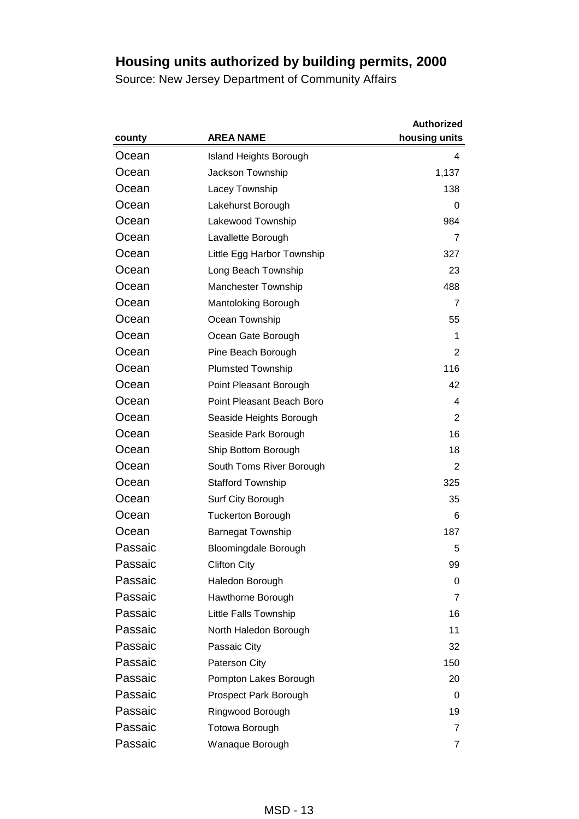|         |                               | <b>Authorized</b> |
|---------|-------------------------------|-------------------|
| county  | <b>AREA NAME</b>              | housing units     |
| Ocean   | <b>Island Heights Borough</b> | 4                 |
| Ocean   | Jackson Township              | 1,137             |
| Ocean   | Lacey Township                | 138               |
| Ocean   | Lakehurst Borough             | 0                 |
| Ocean   | Lakewood Township             | 984               |
| Ocean   | Lavallette Borough            | $\overline{7}$    |
| Ocean   | Little Egg Harbor Township    | 327               |
| Ocean   | Long Beach Township           | 23                |
| Ocean   | <b>Manchester Township</b>    | 488               |
| Ocean   | Mantoloking Borough           | 7                 |
| Ocean   | Ocean Township                | 55                |
| Ocean   | Ocean Gate Borough            | 1                 |
| Ocean   | Pine Beach Borough            | 2                 |
| Ocean   | <b>Plumsted Township</b>      | 116               |
| Ocean   | Point Pleasant Borough        | 42                |
| Ocean   | Point Pleasant Beach Boro     | 4                 |
| Ocean   | Seaside Heights Borough       | 2                 |
| Ocean   | Seaside Park Borough          | 16                |
| Ocean   | Ship Bottom Borough           | 18                |
| Ocean   | South Toms River Borough      | 2                 |
| Ocean   | <b>Stafford Township</b>      | 325               |
| Ocean   | Surf City Borough             | 35                |
| Ocean   | <b>Tuckerton Borough</b>      | 6                 |
| Ocean   | <b>Barnegat Township</b>      | 187               |
| Passaic | Bloomingdale Borough          | 5                 |
| Passaic | <b>Clifton City</b>           | 99                |
| Passaic | Haledon Borough               | 0                 |
| Passaic | Hawthorne Borough             | 7                 |
| Passaic | Little Falls Township         | 16                |
| Passaic | North Haledon Borough         | 11                |
| Passaic | Passaic City                  | 32                |
| Passaic | Paterson City                 | 150               |
| Passaic | Pompton Lakes Borough         | 20                |
| Passaic | Prospect Park Borough         | 0                 |
| Passaic | Ringwood Borough              | 19                |
| Passaic | <b>Totowa Borough</b>         | $\overline{7}$    |
| Passaic | Wanaque Borough               | 7                 |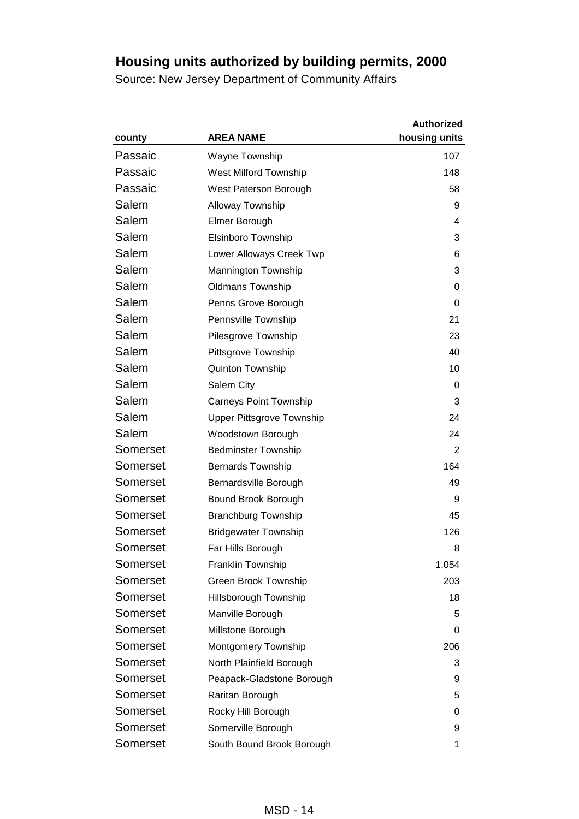|          |                                  | <b>Authorized</b> |
|----------|----------------------------------|-------------------|
| county   | <b>AREA NAME</b>                 | housing units     |
| Passaic  | Wayne Township                   | 107               |
| Passaic  | West Milford Township            | 148               |
| Passaic  | West Paterson Borough            | 58                |
| Salem    | <b>Alloway Township</b>          | 9                 |
| Salem    | Elmer Borough                    | 4                 |
| Salem    | <b>Elsinboro Township</b>        | 3                 |
| Salem    | Lower Alloways Creek Twp         | 6                 |
| Salem    | Mannington Township              | 3                 |
| Salem    | <b>Oldmans Township</b>          | 0                 |
| Salem    | Penns Grove Borough              | 0                 |
| Salem    | Pennsville Township              | 21                |
| Salem    | Pilesgrove Township              | 23                |
| Salem    | Pittsgrove Township              | 40                |
| Salem    | <b>Quinton Township</b>          | 10                |
| Salem    | Salem City                       | 0                 |
| Salem    | <b>Carneys Point Township</b>    | 3                 |
| Salem    | <b>Upper Pittsgrove Township</b> | 24                |
| Salem    | Woodstown Borough                | 24                |
| Somerset | <b>Bedminster Township</b>       | $\overline{2}$    |
| Somerset | <b>Bernards Township</b>         | 164               |
| Somerset | Bernardsville Borough            | 49                |
| Somerset | Bound Brook Borough              | 9                 |
| Somerset | <b>Branchburg Township</b>       | 45                |
| Somerset | <b>Bridgewater Township</b>      | 126               |
| Somerset | Far Hills Borough                | 8                 |
| Somerset | Franklin Township                | 1,054             |
| Somerset | <b>Green Brook Township</b>      | 203               |
| Somerset | Hillsborough Township            | 18                |
| Somerset | Manville Borough                 | 5                 |
| Somerset | Millstone Borough                | 0                 |
| Somerset | Montgomery Township              | 206               |
| Somerset | North Plainfield Borough         | 3                 |
| Somerset | Peapack-Gladstone Borough        | 9                 |
| Somerset | Raritan Borough                  | 5                 |
| Somerset | Rocky Hill Borough               | 0                 |
| Somerset | Somerville Borough               | 9                 |
| Somerset | South Bound Brook Borough        | 1                 |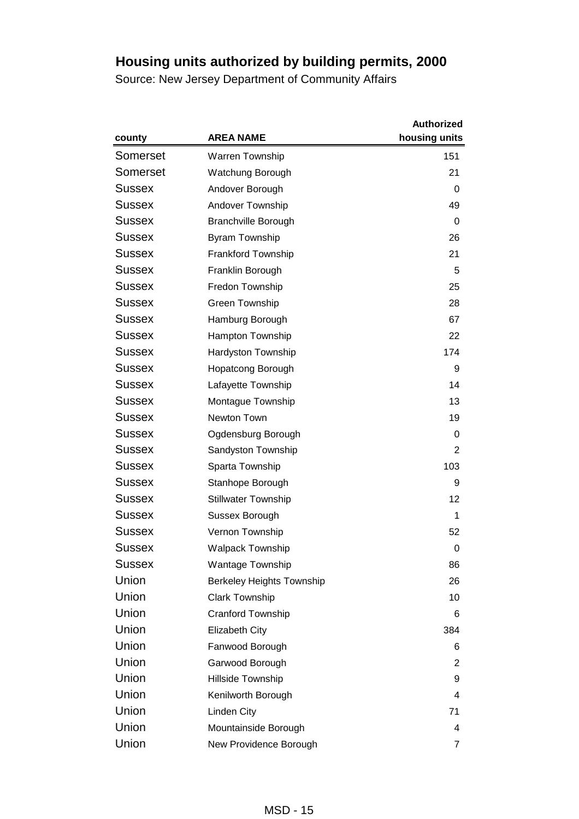|               |                                  | <b>Authorized</b> |
|---------------|----------------------------------|-------------------|
| county        | <b>AREA NAME</b>                 | housing units     |
| Somerset      | Warren Township                  | 151               |
| Somerset      | Watchung Borough                 | 21                |
| Sussex        | Andover Borough                  | 0                 |
| Sussex        | Andover Township                 | 49                |
| Sussex        | <b>Branchville Borough</b>       | 0                 |
| Sussex        | Byram Township                   | 26                |
| Sussex        | <b>Frankford Township</b>        | 21                |
| Sussex        | Franklin Borough                 | 5                 |
| Sussex        | Fredon Township                  | 25                |
| Sussex        | Green Township                   | 28                |
| Sussex        | Hamburg Borough                  | 67                |
| Sussex        | Hampton Township                 | 22                |
| Sussex        | Hardyston Township               | 174               |
| Sussex        | <b>Hopatcong Borough</b>         | 9                 |
| Sussex        | Lafayette Township               | 14                |
| Sussex        | Montague Township                | 13                |
| Sussex        | Newton Town                      | 19                |
| Sussex        | Ogdensburg Borough               | 0                 |
| Sussex        | Sandyston Township               | 2                 |
| Sussex        | Sparta Township                  | 103               |
| Sussex        | Stanhope Borough                 | 9                 |
| Sussex        | <b>Stillwater Township</b>       | 12                |
| <b>Sussex</b> | Sussex Borough                   | 1                 |
| Sussex        | Vernon Township                  | 52                |
| Sussex        | <b>Walpack Township</b>          | 0                 |
| Sussex        | <b>Wantage Township</b>          | 86                |
| Union         | <b>Berkeley Heights Township</b> | 26                |
| Union         | <b>Clark Township</b>            | 10                |
| Union         | <b>Cranford Township</b>         | 6                 |
| Union         | <b>Elizabeth City</b>            | 384               |
| Union         | Fanwood Borough                  | 6                 |
| Union         | Garwood Borough                  | 2                 |
| Union         | Hillside Township                | 9                 |
| Union         | Kenilworth Borough               | 4                 |
| Union         | Linden City                      | 71                |
| Union         | Mountainside Borough             | 4                 |
| Union         | New Providence Borough           | 7                 |